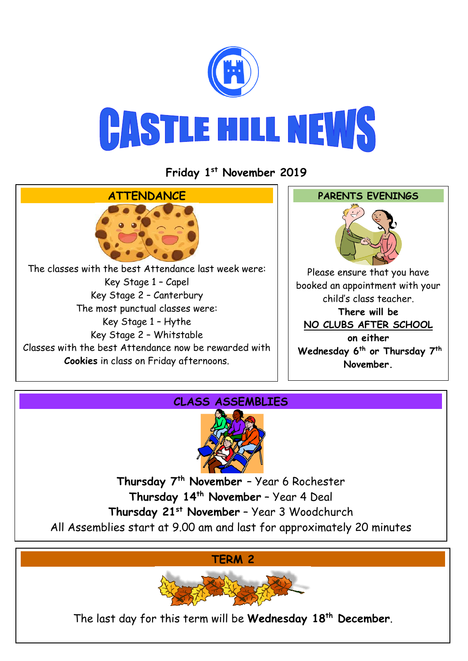

**Friday 1 st November 2019**





**Thursday 7th November** – Year 6 Rochester **Thursday 14th November** – Year 4 Deal **Thursday 21st November** – Year 3 Woodchurch All Assemblies start at 9.00 am and last for approximately 20 minutes

**TERM 2**



The last day for this term will be **Wednesday 18th December**.